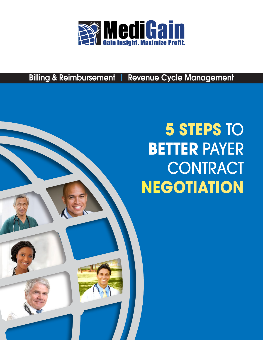

Billing & Reimbursement | Revenue Cycle Management

# **5 STEPS** TO **BETTER** PAYER **CONTRACT NEGOTIATION**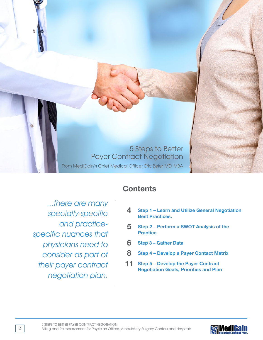5 Steps to Better Payer Contract Negotiation From MediGain's Chief Medical Officer, Eric Beier, MD, MBA

...there are many specialty-specific and practicespecific nuances that physicians need to consider as part of their payer contract negotiation plan.

# **Contents**

- **4 Step 1 Learn and Utilize General Negotiation Best Practices.**
- **5 Step 2 Perform a SWOT Analysis of the Practice**
- **6 Step 3 Gather Data**
- **8 Step 4 Develop a Payer Contact Matrix**
- **11 Step 5 Develop the Payer Contract Negotiation Goals, Priorities and Plan**

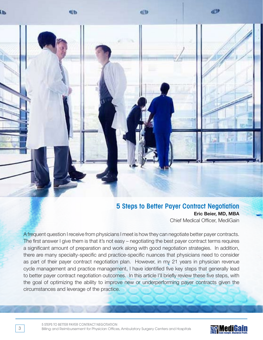

## 5 Steps to Better Payer Contract Negotiation **Eric Beier, MD, MBA** Chief Medical Officer, MediGain

A frequent question I receive from physicians I meet is how they can negotiate better payer contracts. The first answer I give them is that it's not easy – negotiating the best payer contract terms requires a significant amount of preparation and work along with good negotiation strategies. In addition, there are many specialty-specific and practice-specific nuances that physicians need to consider as part of their payer contract negotiation plan. However, in my 21 years in physician revenue cycle management and practice management, I have identified five key steps that generally lead to better payer contract negotiation outcomes. In this article I'll briefly review these five steps, with the goal of optimizing the ability to improve new or underperforming payer contracts given the circumstances and leverage of the practice.



3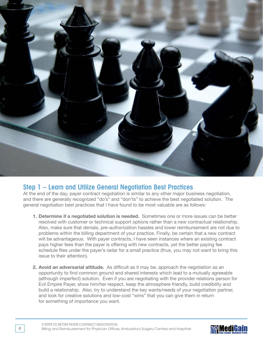

## Step 1 – Learn and Utilize General Negotiation Best Practices

At the end of the day, payer contract negotiation is similar to any other major business negotiation, and there are generally recognized "do's" and "don'ts" to achieve the best negotiated solution. The general negotiation best practices that I have found to be most valuable are as follows:

- **1. Determine if a negotiated solution is needed.** Sometimes one or more issues can be better resolved with customer or technical support options rather than a new contractual relationship. Also, make sure that denials, pre-authorization hassles and lower reimbursement are not due to problems within the billing department of your practice. Finally, be certain that a new contract will be advantageous. With payer contracts, I have seen instances where an existing contract pays higher fees than the payer is offering with new contracts, yet the better paying fee schedule flies under the payer's radar for a small practice (thus, you may not want to bring this issue to their attention).
- **2. Avoid an adversarial attitude.** As difficult as it may be, approach the negotiation as an opportunity to find common ground and shared interests which lead to a mutually agreeable (although imperfect) solution. Even if you are negotiating with the provider relations person for Evil Empire Payer, show him/her respect, keep the atmosphere friendly, build credibility and build a relationship. Also, try to understand the key wants/needs of your negotiation partner, and look for creative solutions and low-cost "wins" that you can give them in return for something of importance you want.

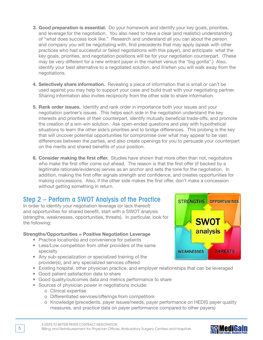- **3. Good preparation is essential.** Do your homework and identify your key goals, priorities, and leverage for the negotiation. You also need to have a clear (and realistic) understanding of "what does success look like." Research and understand all you can about the person and company you will be negotiating with, find precedents that may apply (speak with other practices who had successful or failed negotiations with this payer), and anticipate what the key goals, priorities, and negotiation positions will be for your negotiation counterpart. (These may be very different for a new entrant payer in the market versus the "big gorilla".) Also, identify your best alternative to a negotiated solution, and if/when you will walk away from the negotiations.
- **4. Selectively share information.** Revealing a piece of information that is small or can't be used against you may help to support your case and build trust with your negotiating partner. Sharing information also invites reciprocity from the other side to share information.
- **5. Rank order issues.** Identify and rank order in importance both your issues and your negotiation partner's issues. This helps each side in the negotiation understand the key interests and priorities of their counterpart, identify mutually beneficial trade-offs, and promote the creation of a win-win solution. Ask open-ended questions and play with hypothetical situations to learn the other side's priorities and to bridge differences. This probing is the key that will uncover potential opportunities for compromise over what may appear to be vast differences between the parties, and also create openings for you to persuade your counterpart on the merits and shared benefits of your position.
- **6. Consider making the first offer.** Studies have shown that more often than not, negotiators who make the first offer come out ahead. The reason is that the first offer (if backed by a legitimate rationale/evidence) serves as an anchor and sets the tone for the negotiation. In addition, making the first offer signals strength and confidence, and creates opportunities for making concessions. Also, if the other side makes the first offer, don't make a concession without getting something in return.

# Step 2 – Perform a SWOT Analysis of the Practice

In order to identify your negotiation leverage (or lack thereof) and opportunities for shared benefit, start with a SWOT analysis (strengths, weaknesses, opportunities, threats). In particular, look for the following:

#### **Strengths/Opportunities = Positive Negotiation Leverage**

- Practice location(s) and convenience for patients
- Less/Low competition from other providers of the same specialty
- Any sub-specialization or specialized training of the provider(s), and any specialized services offered
- Existing hospital, other physician practice, and employer relationships that can be leveraged
- Good patient satisfaction data to share
- Good quality/outcomes data and metrics performance to share
- Sources of physician power in negotiations include:
	- o Clinical expertise
	- o Differentiated services/offerings from competitors
	- o Knowledge (precedents, payer issues/needs, payer performance on HEDIS payer quality measures, and practice data on payer performance compared to other payers)



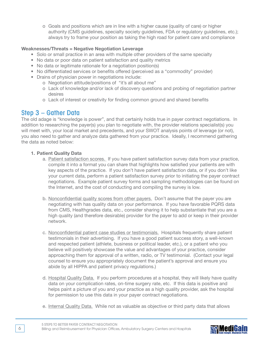o Goals and positions which are in line with a higher cause (quality of care) or higher authority (CMS guidelines, specialty society guidelines, FDA or regulatory guidelines, etc.); always try to frame your position as taking the high road for patient care and compliance

#### **Weaknesses/Threats = Negative Negotiation Leverage**

- Solo or small practice in an area with multiple other providers of the same specialty
- No data or poor data on patient satisfaction and quality metrics
- No data or legitimate rationale for a negotiation position(s)
- No differentiated services or benefits offered (perceived as a "commodity" provider)
- Drains of physician power in negotiations include:
	- o Negotiation attitude/positions of "it's all about me"
	- o Lack of knowledge and/or lack of discovery questions and probing of negotiation partner desires
	- o Lack of interest or creativity for finding common ground and shared benefits

### Step 3 – Gather Data

The old adage is "knowledge is power", and that certainly holds true in payer contract negotiations. In addition to researching the payer(s) you plan to negotiate with, the provider relations specialist(s) you will meet with, your local market and precedents, and your SWOT analysis points of leverage (or not), you also need to gather and analyze data gathered from your practice. Ideally, I recommend gathering the data as noted below:

#### **1. Patient Quality Data**

- a. Patient satisfaction scores. If you have patient satisfaction survey data from your practice, compile it into a format you can share that highlights how satisfied your patients are with key aspects of the practice. If you don't have patient satisfaction data, or if you don't like your current data, perform a patient satisfaction survey prior to initiating the payer contract negotiations. Example patient survey forms and sampling methodologies can be found on the Internet, and the cost of conducting and compiling the survey is low.
- b. Nonconfidential quality scores from other payers. Don't assume that the payer you are negotiating with has quality data on your performance. If you have favorable PQRS data from CMS, Healthgrades data, etc., consider sharing it to help substantiate that you are a high quality (and therefore desirable) provider for the payer to add or keep in their provider network.
- c. Nonconfidential patient case studies or testimonials. Hospitals frequently share patient testimonials in their advertising. If you have a good patient success story, a well-known and respected patient (athlete, business or political leader, etc.), or a patient who you believe will positively showcase the value and advantages of your practice, consider approaching them for approval of a written, radio, or TV testimonial. (Contact your legal counsel to ensure you appropriately document the patient's approval and ensure you abide by all HIPPA and patient privacy regulations.)
- d. Hospital Quality Data. If you perform procedures at a hospital, they will likely have quality data on your complication rates, on-time surgery rate, etc. If this data is positive and helps paint a picture of you and your practice as a high quality provider, ask the hospital for permission to use this data in your payer contract negotiations.
- e. Internal Quality Data. While not as valuable as objective or third party data that allows

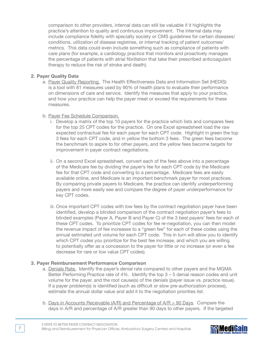comparison to other providers, internal data can still be valuable if it highlights the practice's attention to quality and continuous improvement. The internal data may include compliance fidelity with specialty society or CMS guidelines for certain diseases/ conditions, utilization of disease registries, or internal tracking of patient outcomes/ metrics. This data could even include something such as compliance of patients with care plans (for example, a cardiology practice that monitors and proactively manages the percentage of patients with atrial fibrillation that take their prescribed anticoagulant therapy to reduce the risk of stroke and death).

#### **2. Payer Quality Data**

a. Payer Quality Reporting. The Health Effectiveness Data and Information Set (HEDIS) is a tool with 81 measures used by 90% of health plans to evaluate their performance on dimensions of care and service. Identify the measures that apply to your practice, and how your practice can help the payer meet or exceed the requirements for these measures.

#### b. Payer Fee Schedule Comparison.

- i. Develop a matrix of the top 10 payers for the practice which lists and compares fees for the top 25 CPT codes for the practice. On one Excel spreadsheet load the raw expected contractual fee for each payer for each CPT code. Highlight in green the top 3 fees for each CPT code, and in yellow the bottom 3 fees. The green fees become the benchmark to aspire to for other payers, and the yellow fees become targets for improvement in payer contract negotiations.
- ii. On a second Excel spreadsheet, convert each of the fees above into a percentage of the Medicare fee by dividing the payer's fee for each CPT code by the Medicare fee for that CPT code and converting to a percentage. Medicare fees are easily available online, and Medicare is an important benchmark payer for most practices. By comparing private payers to Medicare, the practice can identify underperforming payers and more easily see and compare the degree of payer underperformance for key CPT codes.
- iii. Once important CPT codes with low fees by the contract negotiation payer have been identified, develop a blinded comparison of the contract negotiation payer's fees to blinded examples (Payer A, Payer B and Payer C) of the 3 best payers' fees for each of these CPT codes. To prioritize CPT codes for fee re-negotiation, you can then model the revenue impact of fee increases to a "green fee" for each of these codes using the annual estimated unit volume for each CPT code. This in turn will allow you to identify which CPT codes you prioritize for the best fee increase, and which you are willing to potentially offer as a concession to the payer for little or no increase (or even a fee decrease for rare or low value CPT codes).

#### **3. Payer Reimbursement Performance Comparison**

- a. Denials Rate. Identify the payer's denial rate compared to other payers and the MGMA Better Performing Practice rate of 4%. Identify the top 3 – 5 denial reason codes and unit volume for the payer, and the root cause(s) of the denials (payer issue vs. practice issue). If a payer problem(s) is identified (such as difficult or slow pre-authorization process), estimate the annual dollar value and add it to the negotiation priorities list.
- b. Days in Accounts Receivable (A/R) and Percentage of A/R > 90 Days. Compare the days in A/R and percentage of A/R greater than 90 days to other payers. If the targeted

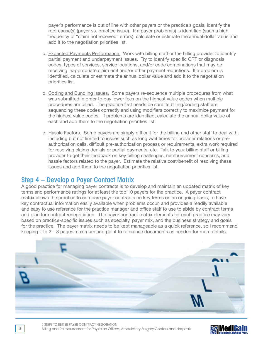payer's performance is out of line with other payers or the practice's goals, identify the root cause(s) (payer vs. practice issue). If a payer problem(s) is identified (such a high frequency of "claim not received" errors), calculate or estimate the annual dollar value and add it to the negotiation priorities list.

- c. Expected Payments Performance. Work with billing staff or the billing provider to identify partial payment and underpayment issues. Try to identify specific CPT or diagnosis codes, types of services, service locations, and/or code combinations that may be receiving inappropriate claim edit and/or other payment reductions. If a problem is identified, calculate or estimate the annual dollar value and add it to the negotiation priorities list.
- d. Coding and Bundling Issues. Some payers re-sequence multiple procedures from what was submitted in order to pay lower fees on the highest value codes when multiple procedures are billed. The practice first needs be sure its billing/coding staff are sequencing these codes correctly and using modifiers correctly to maximize payment for the highest value codes. If problems are identified, calculate the annual dollar value of each and add them to the negotiation priorities list.
- e. Hassle Factors. Some payers are simply difficult for the billing and other staff to deal with, including but not limited to issues such as long wait times for provider relations or preauthorization calls, difficult pre-authorization process or requirements, extra work required for resolving claims denials or partial payments, etc. Talk to your billing staff or billing provider to get their feedback on key billing challenges, reimbursement concerns, and hassle factors related to the payer. Estimate the relative cost/benefit of resolving these issues and add them to the negotiation priorities list.

## Step 4 – Develop a Payer Contact Matrix

A good practice for managing payer contracts is to develop and maintain an updated matrix of key terms and performance ratings for at least the top 10 payers for the practice. A payer contract matrix allows the practice to compare payer contracts on key terms on an ongoing basis, to have key contractual information easily available when problems occur, and provides a readily available and easy to use reference for the practice manager and office staff to use to abide by contract terms and plan for contract renegotiation. The payer contract matrix elements for each practice may vary based on practice-specific issues such as specialty, payer mix, and the business strategy and goals for the practice. The payer matrix needs to be kept manageable as a quick reference, so I recommend keeping it to 2 – 3 pages maximum and point to reference documents as needed for more details.



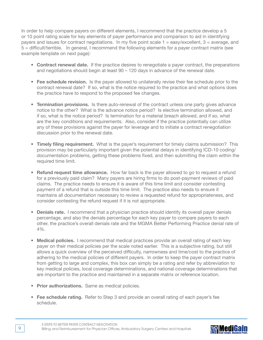In order to help compare payers on different elements, I recommend that the practice develop a 5 or 10 point rating scale for key elements of payer performance and comparison to aid in identifying payers and issues for contract negotiations. In my five point scale  $1 = \text{easy}/\text{excellent}$ ,  $3 = \text{average}$ , and 5 = difficult/terrible. In general, I recommend the following elements for a payer contract matrix (see example template on next page):

- **Contract renewal date.** If the practice desires to renegotiate a payer contract, the preparations and negotiations should begin at least 90 – 120 days in advance of the renewal date.
- **Fee schedule revision.** Is the payer allowed to unilaterally revise their fee schedule prior to the contract renewal date? If so, what is the notice required to the practice and what options does the practice have to respond to the proposed fee changes.
- **Termination provisions.** Is there auto-renewal of the contract unless one party gives advance notice to the other? What is the advance notice period? Is elective termination allowed, and if so, what is the notice period? Is termination for a material breach allowed, and if so, what are the key conditions and requirements. Also, consider if the practice potentially can utilize any of these provisions against the payer for leverage and to initiate a contract renegotiation discussion prior to the renewal date.
- **Timely filing requirement.** What is the payer's requirement for timely claims submission? This provision may be particularly important given the potential delays in identifying ICD-10 coding/ documentation problems, getting these problems fixed, and then submitting the claim within the required time limit.
- **Refund request time allowance.** How far back is the payer allowed to go to request a refund for a previously paid claim? Many payers are hiring firms to do post-payment reviews of paid claims. The practice needs to ensure it is aware of this time limit and consider contesting payment of a refund that is outside this time limit. The practice also needs to ensure it maintains all documentation necessary to review a requested refund for appropriateness, and consider contesting the refund request if it is not appropriate.
- **Denials rate.** I recommend that a physician practice should identify its overall payer denials percentage, and also the denials percentage for each key payer to compare payers to each other, the practice's overall denials rate and the MGMA Better Performing Practice denial rate of 4%.
- **Medical policies.** I recommend that medical practices provide an overall rating of each key payer on their medical policies per the scale noted earlier. This is a subjective rating, but still allows a quick overview of the perceived difficulty, narrowness and time/cost to the practice of adhering to the medical policies of different payers. In order to keep the payer contract matrix from getting to large and complex, this box can simply be a rating and refer by abbreviation to key medical policies, local coverage determinations, and national coverage determinations that are important to the practice and maintained in a separate matrix or reference location.
- **Prior authorizations.** Same as medical policies.
- **Fee schedule rating.** Refer to Step 3 and provide an overall rating of each payer's fee schedule.

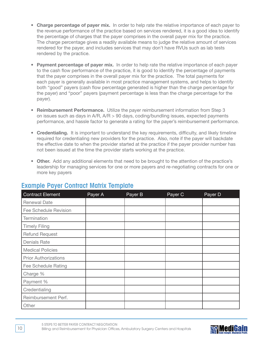- **Charge percentage of payer mix.** In order to help rate the relative importance of each payer to the revenue performance of the practice based on services rendered, it is a good idea to identify the percentage of charges that the payer comprises in the overall payer mix for the practice. The charge percentage gives a readily available means to judge the relative amount of services rendered for the payer, and includes services that may don't have RVUs such as lab tests rendered by the practice.
- **Payment percentage of payer mix.** In order to help rate the relative importance of each payer to the cash flow performance of the practice, it is good to identify the percentage of payments that the payer comprises in the overall payer mix for the practice. The total payments for each payer is generally available in most practice management systems, and helps to identify both "good" payers (cash flow percentage generated is higher than the charge percentage for the payer) and "poor" payers (payment percentage is less than the charge percentage for the payer).
- **Reimbursement Performance.** Utilize the payer reimbursement information from Step 3 on issues such as days in A/R, A/R > 90 days, coding/bundling issues, expected payments performance, and hassle factor to generate a rating for the payer's reimbursement performance.
- **Credentialing.** It is important to understand the key requirements, difficulty, and likely timeline required for credentialing new providers for the practice. Also, note if the payer will backdate the effective date to when the provider started at the practice if the payer provider number has not been issued at the time the provider starts working at the practice.
- **Other.** Add any additional elements that need to be brought to the attention of the practice's leadership for managing services for one or more payers and re-negotiating contracts for one or more key payers

| <b>Contract Element</b>      | Payer A | Payer B | Payer C | Payer D |
|------------------------------|---------|---------|---------|---------|
| <b>Renewal Date</b>          |         |         |         |         |
| <b>Fee Schedule Revision</b> |         |         |         |         |
| <b>Termination</b>           |         |         |         |         |
| <b>Timely Filing</b>         |         |         |         |         |
| <b>Refund Request</b>        |         |         |         |         |
| <b>Denials Rate</b>          |         |         |         |         |
| <b>Medical Policies</b>      |         |         |         |         |
| <b>Prior Authorizations</b>  |         |         |         |         |
| <b>Fee Schedule Rating</b>   |         |         |         |         |
| Charge %                     |         |         |         |         |
| Payment %                    |         |         |         |         |
| Credentialing                |         |         |         |         |
| Reimbursement Perf.          |         |         |         |         |
| Other                        |         |         |         |         |

# Example Payer Contract Matrix Template

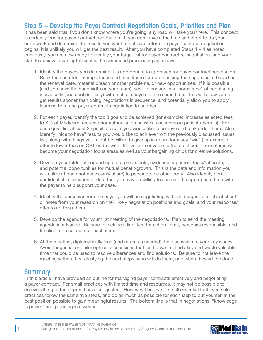# Step 5 – Develop the Payer Contract Negotiation Goals, Priorities and Plan

It has been said that if you don't know where you're going, any road will take you there. This concept is certainly true for payer contract negotiation. If you don't invest the time and effort to do your homework and determine the results you want to achieve before the payer contract negotiation begins, it is unlikely you will get the best result. After you have completed Steps 1 – 4 as noted previously, you are now ready to identify your target list for payer contract re-negotiation, and your plan to achieve meaningful results. I recommend proceeding as follows:

- 1. Identify the payers you determine it is appropriate to approach for payer contract negotiation. Rank them in order of importance and time frame for commencing the negotiations based on the renewal date, material breach or other problems, or new opportunities. If it is possible (and you have the bandwidth on your team), seek to engage in a "horse race" of negotiating individually (and confidentially) with multiple payers at the same time. This will allow you to get results sooner than doing negotiations in sequence, and potentially allow you to apply learning from one payer contract negotiation to another.
- 2. For each payer, identify the top 3 goals to be achieved (for example: increase selected fees to X% of Medicare, reduce prior authorization hassles, and increase patient referrals). For each goal, list at least 3 specific results you would like to achieve and rank order them. Also identify "nice to have" results you would like to achieve from the previously discussed issues list, along with things you might be willing to give up in return for a key "win" (for example, offer to lower fees on CPT codes with little volume or value to the practice). These items will become your negotiation focus areas as well as your bargaining chips for creative solutions.
- 3. Develop your folder of supporting data, precedents, evidence, argument logic/rationale, and potential opportunities for mutual benefit/growth. This is the data and information you will utilize (though not necessarily share) to persuade the other party. Also identify nonconfidential information or data that you may be willing to share at the appropriate time with the payer to help support your case.
- 4. Identify the person(s) from the payer you will be negotiating with, and organize a "cheat sheet" or notes from your research on their likely negotiation positions and goals, and your response/ offer to address them.
- 5. Develop the agenda for your first meeting of the negotiations. Plan to send the meeting agenda in advance. Be sure to include a line item for action items, person(s) responsible, and timeline for resolution for each item.
- 6. At the meeting, diplomatically lead (and return as needed) the discussion to your key issues. Avoid tangential or philosophical discussions that lead down a blind alley and waste valuable time that could be used to resolve differences and find solutions. Be sure to not leave the meeting without first clarifying the next steps, who will do them, and when they will be done.

## Summary

In this article I have provided an outline for managing payer contracts effectively and negotiating a payer contract. For small practices with limited time and resources, it may not be possible to do everything to the degree I have suggested. However, I believe it is still essential that even solo practices follow the same five steps, and do as much as possible for each step to put yourself in the best position possible to gain meaningful results. The bottom line is that in negotiations, "knowledge is power" and planning is essential.